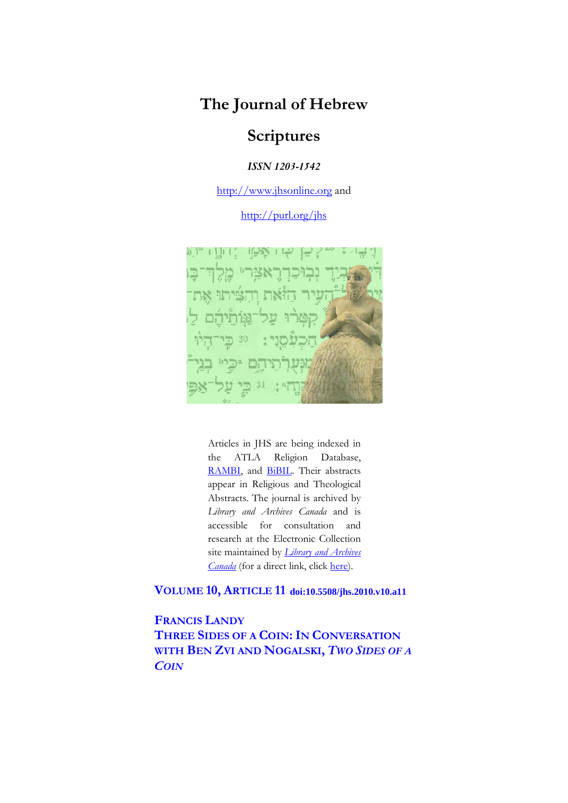## **The Journal of Hebrew**

## **Scriptures**

*ISSN 1203-1542*

http://www.jhsonline.org and

http://purl.org/jhs



Articles in JHS are being indexed in the ATLA Religion Database, RAMBI, and **BiBIL**. Their abstracts appear in Religious and Theological Abstracts. The journal is archived by *Library and Archives Canada* and is accessible for consultation and research at the Electronic Collection site maintained by *Library and Archives Canada* (for a direct link, click here).

**VOLUME 10, ARTICLE 11 doi:10.5508/jhs.2010.v10.a11**

**FRANCIS LANDY THREE SIDES OF A COIN: IN CONVERSATION WITH BEN ZVI AND NOGALSKI,** *TWO SIDES OF A COIN*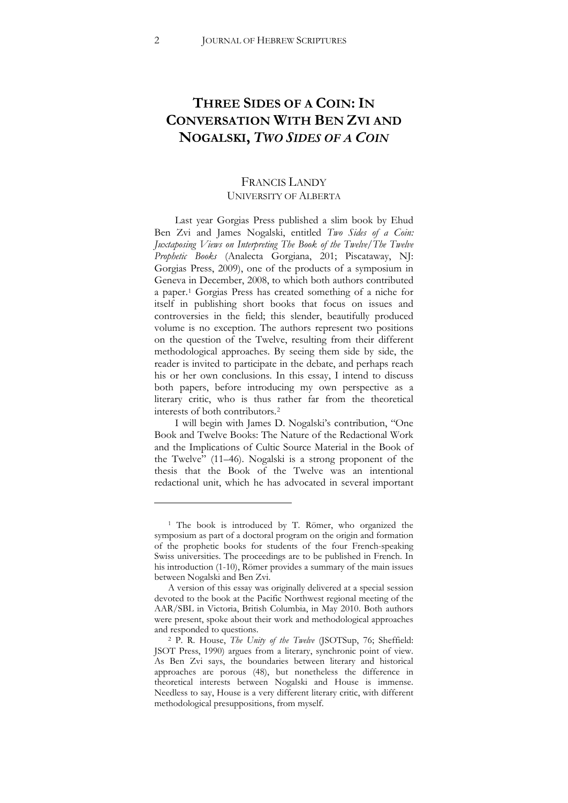## **THREE SIDES OF A COIN: IN CONVERSATION WITH BEN ZVI AND NOGALSKI,** *TWO SIDES OF A COIN*

## FRANCIS LANDY UNIVERSITY OF ALBERTA

Last year Gorgias Press published a slim book by Ehud Ben Zvi and James Nogalski, entitled *Two Sides of a Coin: Juxtaposing Views on Interpreting The Book of the Twelve/The Twelve*  Prophetic Books (Analecta Gorgiana, 201; Piscataway, NJ: Gorgias Press, 2009), one of the products of a symposium in Geneva in December, 2008, to which both authors contributed a paper.[1](#page-1-0) Gorgias Press has created something of a niche for itself in publishing short books that focus on issues and controversies in the field; this slender, beautifully produced volume is no exception. The authors represent two positions on the question of the Twelve, resulting from their different methodological approaches. By seeing them side by side, the reader is invited to participate in the debate, and perhaps reach his or her own conclusions. In this essay, I intend to discuss both papers, before introducing my own perspective as a literary critic, who is thus rather far from the theoretical interests of both contributors.[2](#page-1-1)

I will begin with James D. Nogalski's contribution, "One Book and Twelve Books: The Nature of the Redactional Work and the Implications of Cultic Source Material in the Book of the Twelve" (11–46). Nogalski is a strong proponent of the thesis that the Book of the Twelve was an intentional redactional unit, which he has advocated in several important

<span id="page-1-0"></span><sup>1</sup> The book is introduced by T. Römer, who organized the symposium as part of a doctoral program on the origin and formation of the prophetic books for students of the four French-speaking Swiss universities. The proceedings are to be published in French. In his introduction (1-10), Römer provides a summary of the main issues between Nogalski and Ben Zvi.

A version of this essay was originally delivered at a special session devoted to the book at the Pacific Northwest regional meeting of the AAR/SBL in Victoria, British Columbia, in May 2010. Both authors were present, spoke about their work and methodological approaches and responded to questions.

<span id="page-1-1"></span><sup>&</sup>lt;sup>2</sup> P. R. House, *The Unity of the Twelve* (JSOTSup, 76; Sheffield: JSOT Press, 1990) argues from a literary, synchronic point of view. As Ben Zvi says, the boundaries between literary and historical approaches are porous (48), but nonetheless the difference in theoretical interests between Nogalski and House is immense. Needless to say, House is a very different literary critic, with different methodological presuppositions, from myself.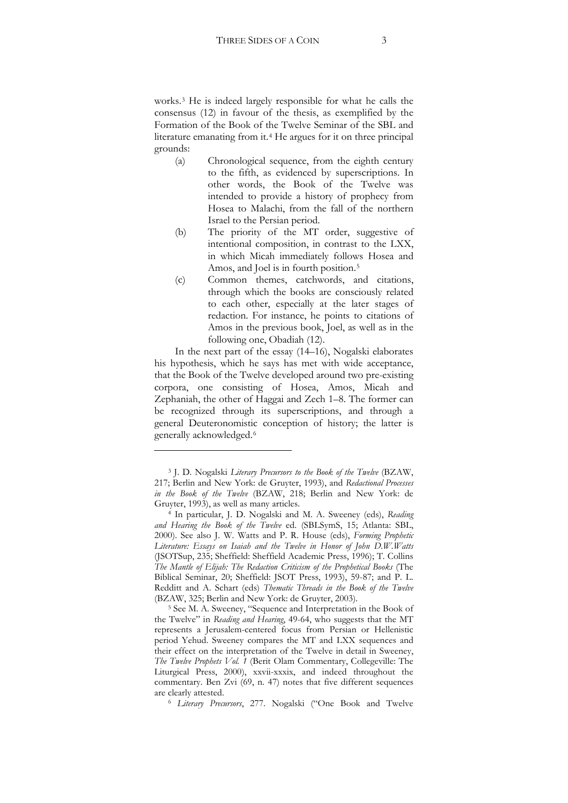works.[3](#page-2-0) He is indeed largely responsible for what he calls the consensus (12) in favour of the thesis, as exemplified by the Formation of the Book of the Twelve Seminar of the SBL and literature emanating from it.[4](#page-2-1) He argues for it on three principal grounds:

- (a) Chronological sequence, from the eighth century to the fifth, as evidenced by superscriptions. In other words, the Book of the Twelve was intended to provide a history of prophecy from Hosea to Malachi, from the fall of the northern Israel to the Persian period.
- (b) The priority of the MT order, suggestive of intentional composition, in contrast to the LXX, in which Micah immediately follows Hosea and Amos, and Joel is in fourth position.[5](#page-2-2)
- (c) Common themes, catchwords, and citations, through which the books are consciously related to each other, especially at the later stages of redaction. For instance, he points to citations of Amos in the previous book, Joel, as well as in the following one, Obadiah (12).

In the next part of the essay (14–16), Nogalski elaborates his hypothesis, which he says has met with wide acceptance, that the Book of the Twelve developed around two pre-existing corpora, one consisting of Hosea, Amos, Micah and Zephaniah, the other of Haggai and Zech 1–8. The former can be recognized through its superscriptions, and through a general Deuteronomistic conception of history; the latter is generally acknowledged.[6](#page-2-3)

!!!!!!!!!!!!!!!!!!!!!!!!!!!!!!!!!!!!!!!!!!!!!!!!!!!!!!!!!!

<span id="page-2-3"></span><sup>6</sup> *Literary Precursors*, 277. Nogalski ("One Book and Twelve

<span id="page-2-0"></span><sup>3</sup> J. D. Nogalski *Literary Precursors to the Book of the Twelve* (BZAW, 217; Berlin and New York: de Gruyter, 1993), and *Redactional Processes in the Book of the Twelve* (BZAW, 218; Berlin and New York: de Gruyter, 1993), as well as many articles. 4 In particular, J. D. Nogalski and M. A. Sweeney (eds), *Reading* 

<span id="page-2-1"></span>and Hearing the Book of the Twelve ed. (SBLSymS, 15; Atlanta: SBL, 2000). See also J. W. Watts and P. R. House (eds), *Forming Prophetic Literature: Essays on Isaiah and the Twelve in Honor of John D.W.Watts* (JSOTSup, 235; Sheffield: Sheffield Academic Press, 1996); T. Collins *The Mantle of Elijah: The Redaction Criticism of the Prophetical Books* (The Biblical Seminar, 20; Sheffield: JSOT Press, 1993), 59-87; and P. L. Redditt and A. Schart (eds) *Thematic Threads in the Book of the Twelve* (BZAW, 325; Berlin and New York: de Gruyter, 2003).

<span id="page-2-2"></span><sup>5</sup> See M. A. Sweeney, "Sequence and Interpretation in the Book of the Twelve" in *Reading and Hearing*, 49-64, who suggests that the MT represents a Jerusalem-centered focus from Persian or Hellenistic period Yehud. Sweeney compares the MT and LXX sequences and their effect on the interpretation of the Twelve in detail in Sweeney, *The Twelve Prophets Vol. 1* (Berit Olam Commentary, Collegeville: The Liturgical Press, 2000), xxvii-xxxix, and indeed throughout the commentary. Ben Zvi (69, n. 47) notes that five different sequences are clearly attested.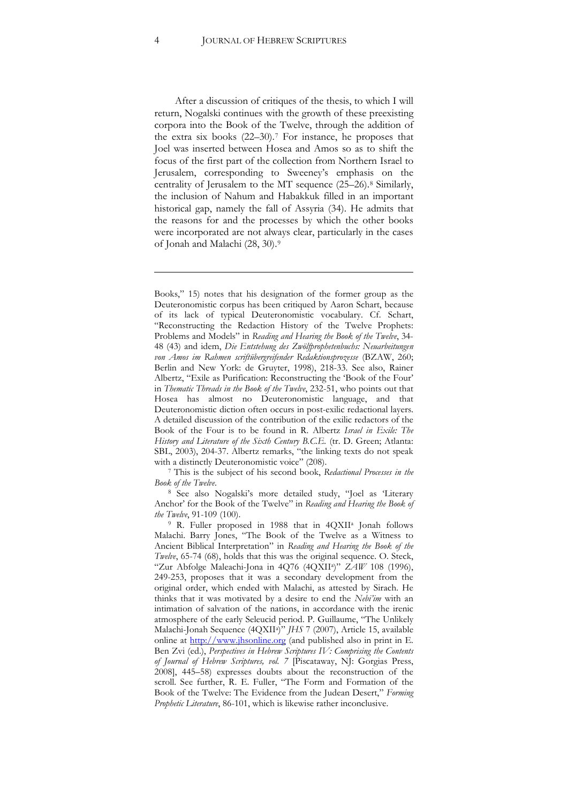After a discussion of critiques of the thesis, to which I will return, Nogalski continues with the growth of these preexisting corpora into the Book of the Twelve, through the addition of the extra six books (22–30).[7](#page-3-0) For instance, he proposes that Joel was inserted between Hosea and Amos so as to shift the focus of the first part of the collection from Northern Israel to Jerusalem, corresponding to Sweeney's emphasis on the centrality of Jerusalem to the MT sequence (25–26).[8](#page-3-1) Similarly, the inclusion of Nahum and Habakkuk filled in an important historical gap, namely the fall of Assyria (34). He admits that the reasons for and the processes by which the other books were incorporated are not always clear, particularly in the cases of Jonah and Malachi (28, 30).[9](#page-3-2)

!!!!!!!!!!!!!!!!!!!!!!!!!!!!!!!!!!!!!!!!!!!!!!!!!!!!!!!!!!!!!!!!!!!!!!!!!!!!!!!!!!!!!!!!!!!!!!!!!!!!!!!!!!!!

Books," 15) notes that his designation of the former group as the Deuteronomistic corpus has been critiqued by Aaron Schart, because of its lack of typical Deuteronomistic vocabulary. Cf. Schart, "Reconstructing the Redaction History of the Twelve Prophets: Problems and Models" in *Reading and Hearing the Book of the Twelve*, 34- 48 (43) and idem, *Die Entstehung des Zwölfprophetenbuchs: Neuarbeitungen*  von Amos im Rahmen scriftübergreifender Redaktionsprozesse (BZAW, 260; Berlin and New York: de Gruyter, 1998), 218-33. See also, Rainer Albertz, "Exile as Purification: Reconstructing the 'Book of the Four' in *Thematic Threads in the Book of the Twelve*, 232-51, who points out that Hosea has almost no Deuteronomistic language, and that Deuteronomistic diction often occurs in post-exilic redactional layers. A detailed discussion of the contribution of the exilic redactors of the Book of the Four is to be found in R. Albertz *Israel in Exile: The History and Literature of the Sixth Century B.C.E.* (tr. D. Green; Atlanta: SBL, 2003), 204-37. Albertz remarks, "the linking texts do not speak with a distinctly Deuteronomistic voice" (208).

<sup>7</sup> This is the subject of his second book, *Redactional Processes in the* 

<span id="page-3-1"></span><span id="page-3-0"></span>*Book of the Twelve*. 8 See also Nogalski's more detailed study, "Joel as 'Literary Anchor' for the Book of the Twelve" in *Reading and Hearing the Book of* 

<span id="page-3-2"></span>*the Twelve*, 91-109 (100).<br><sup>9</sup> R. Fuller proposed in 1988 that in 4QXII<sup>a</sup> Jonah follows Malachi. Barry Jones, "The Book of the Twelve as a Witness to Ancient Biblical Interpretation" in *Reading and Hearing the Book of the Twelve*, 65-74 (68), holds that this was the original sequence. O. Steck, "Zur Abfolge Maleachi-Jona in 4Q76 (4QXIIa)" *ZAW* 108 (1996), 249-253, proposes that it was a secondary development from the original order, which ended with Malachi, as attested by Sirach. He thinks that it was motivated by a desire to end the *Nebi'im* with an intimation of salvation of the nations, in accordance with the irenic atmosphere of the early Seleucid period. P. Guillaume, "The Unlikely Malachi-Jonah Sequence (4QXIIa)" *JHS* 7 (2007), Article 15, available online at http://www.jhsonline.org (and published also in print in E. Ben Zvi (ed.), *Perspectives in Hebrew Scriptures IV: Comprising the Contents of Journal of Hebrew Scriptures, vol. 7* [Piscataway, NJ: Gorgias Press, 2008], 445–58) expresses doubts about the reconstruction of the scroll. See further, R. E. Fuller, "The Form and Formation of the Book of the Twelve: The Evidence from the Judean Desert," *Forming Prophetic Literature*, 86-101, which is likewise rather inconclusive.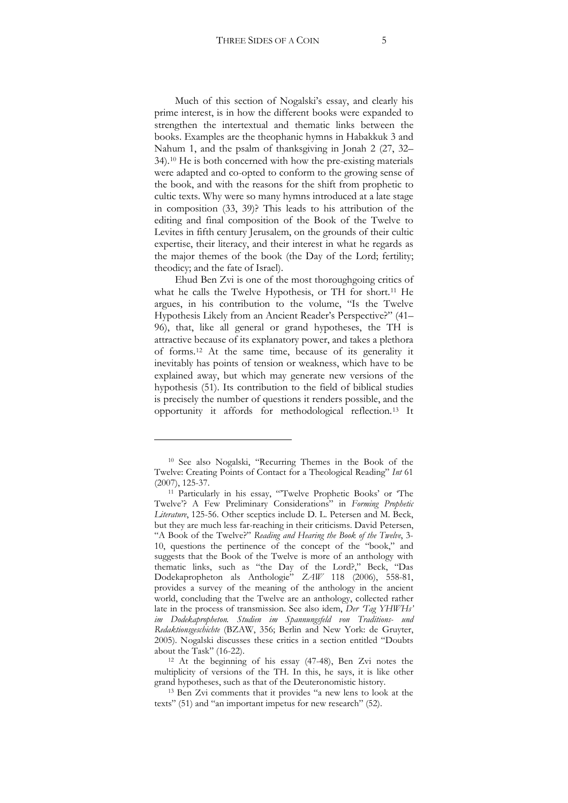Much of this section of Nogalski's essay, and clearly his prime interest, is in how the different books were expanded to strengthen the intertextual and thematic links between the books. Examples are the theophanic hymns in Habakkuk 3 and Nahum 1, and the psalm of thanksgiving in Jonah 2 (27, 32– 34).[10](#page-4-0) He is both concerned with how the pre-existing materials were adapted and co-opted to conform to the growing sense of the book, and with the reasons for the shift from prophetic to cultic texts. Why were so many hymns introduced at a late stage in composition (33, 39)? This leads to his attribution of the editing and final composition of the Book of the Twelve to Levites in fifth century Jerusalem, on the grounds of their cultic expertise, their literacy, and their interest in what he regards as the major themes of the book (the Day of the Lord; fertility; theodicy; and the fate of Israel).

Ehud Ben Zvi is one of the most thoroughgoing critics of what he calls the Twelve Hypothesis, or TH for short.[11](#page-4-1) He argues, in his contribution to the volume, "Is the Twelve Hypothesis Likely from an Ancient Reader's Perspective?" (41– 96), that, like all general or grand hypotheses, the TH is attractive because of its explanatory power, and takes a plethora of forms.[12](#page-4-2) At the same time, because of its generality it inevitably has points of tension or weakness, which have to be explained away, but which may generate new versions of the hypothesis (51). Its contribution to the field of biblical studies is precisely the number of questions it renders possible, and the opportunity it affords for methodological reflection.[13](#page-4-3) It

<span id="page-4-0"></span><sup>10</sup> See also Nogalski, "Recurring Themes in the Book of the Twelve: Creating Points of Contact for a Theological Reading" *Int* 61 (2007), 125-37.

<span id="page-4-1"></span><sup>&</sup>lt;sup>11</sup> Particularly in his essay, "Twelve Prophetic Books' or 'The Twelve'? A Few Preliminary Considerations" in *Forming Prophetic Literature*, 125-56. Other sceptics include D. L. Petersen and M. Beck, but they are much less far-reaching in their criticisms. David Petersen, "A Book of the Twelve?" *Reading and Hearing the Book of the Twelve*, 3- 10, questions the pertinence of the concept of the "book," and suggests that the Book of the Twelve is more of an anthology with thematic links, such as "the Day of the Lord?," Beck, "Das Dodekapropheton als Anthologie" *ZAW* 118 (2006), 558-81, provides a survey of the meaning of the anthology in the ancient world, concluding that the Twelve are an anthology, collected rather late in the process of transmission. See also idem, *Der 'Tag YHWHs' im Dodekapropheton. Studien im Spannungsfeld von Traditions- und Redaktionsgeschichte* (BZAW, 356; Berlin and New York: de Gruyter, 2005). Nogalski discusses these critics in a section entitled "Doubts about the Task" (16-22).  $12$  At the beginning of his essay (47-48), Ben Zvi notes the

<span id="page-4-2"></span>multiplicity of versions of the TH. In this, he says, it is like other grand hypotheses, such as that of the Deuteronomistic history.

<span id="page-4-3"></span><sup>13</sup> Ben Zvi comments that it provides "a new lens to look at the texts" (51) and "an important impetus for new research" (52).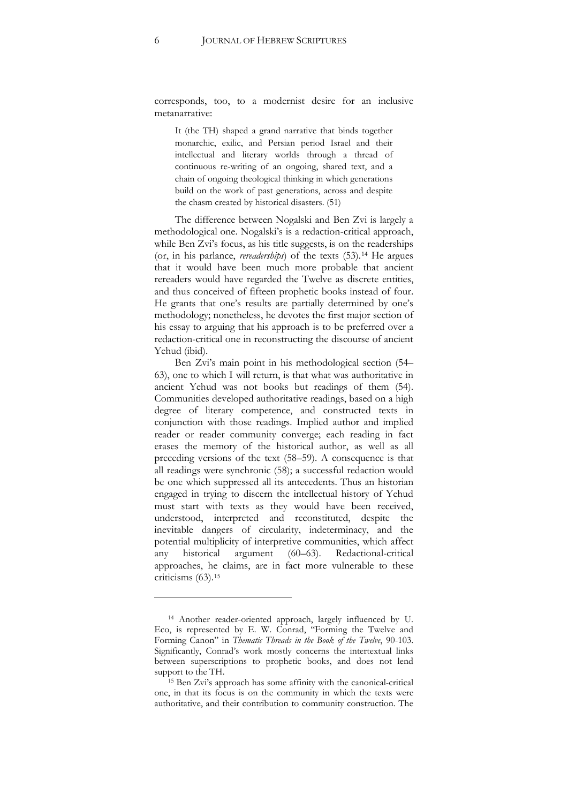corresponds, too, to a modernist desire for an inclusive metanarrative:

It (the TH) shaped a grand narrative that binds together monarchic, exilic, and Persian period Israel and their intellectual and literary worlds through a thread of continuous re-writing of an ongoing, shared text, and a chain of ongoing theological thinking in which generations build on the work of past generations, across and despite the chasm created by historical disasters. (51)

The difference between Nogalski and Ben Zvi is largely a methodological one. Nogalski's is a redaction-critical approach, while Ben Zvi's focus, as his title suggests, is on the readerships (or, in his parlance, *rereaderships*) of the texts (53).[14](#page-5-0) He argues that it would have been much more probable that ancient rereaders would have regarded the Twelve as discrete entities, and thus conceived of fifteen prophetic books instead of four. He grants that one's results are partially determined by one's methodology; nonetheless, he devotes the first major section of his essay to arguing that his approach is to be preferred over a redaction-critical one in reconstructing the discourse of ancient Yehud (ibid).

Ben Zvi's main point in his methodological section (54– 63), one to which I will return, is that what was authoritative in ancient Yehud was not books but readings of them (54). Communities developed authoritative readings, based on a high degree of literary competence, and constructed texts in conjunction with those readings. Implied author and implied reader or reader community converge; each reading in fact erases the memory of the historical author, as well as all preceding versions of the text (58–59). A consequence is that all readings were synchronic (58); a successful redaction would be one which suppressed all its antecedents. Thus an historian engaged in trying to discern the intellectual history of Yehud must start with texts as they would have been received, understood, interpreted and reconstituted, despite the inevitable dangers of circularity, indeterminacy, and the potential multiplicity of interpretive communities, which affect any historical argument (60–63). Redactional-critical approaches, he claims, are in fact more vulnerable to these criticisms (63)[.15](#page-5-1)

<span id="page-5-0"></span><sup>14</sup> Another reader-oriented approach, largely influenced by U. Eco, is represented by E. W. Conrad, "Forming the Twelve and Forming Canon" in *Thematic Threads in the Book of the Twelve*, 90-103. Significantly, Conrad's work mostly concerns the intertextual links between superscriptions to prophetic books, and does not lend support to the TH.

<span id="page-5-1"></span><sup>15</sup> Ben Zvi's approach has some affinity with the canonical-critical one, in that its focus is on the community in which the texts were authoritative, and their contribution to community construction. The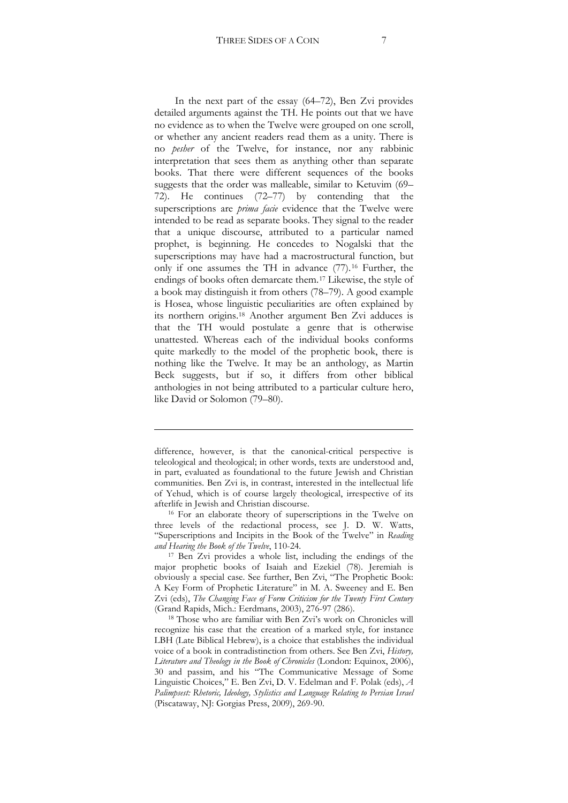In the next part of the essay (64–72), Ben Zvi provides detailed arguments against the TH. He points out that we have no evidence as to when the Twelve were grouped on one scroll, or whether any ancient readers read them as a unity. There is no *pesher* of the Twelve, for instance, nor any rabbinic interpretation that sees them as anything other than separate books. That there were different sequences of the books suggests that the order was malleable, similar to Ketuvim (69– 72). He continues (72–77) by contending that the superscriptions are *prima facie* evidence that the Twelve were intended to be read as separate books. They signal to the reader that a unique discourse, attributed to a particular named prophet, is beginning. He concedes to Nogalski that the superscriptions may have had a macrostructural function, but only if one assumes the TH in advance (77).[16](#page-6-0) Further, the endings of books often demarcate them.[17](#page-6-1) Likewise, the style of a book may distinguish it from others (78–79). A good example is Hosea, whose linguistic peculiarities are often explained by its northern origins.[18](#page-6-2) Another argument Ben Zvi adduces is that the TH would postulate a genre that is otherwise unattested. Whereas each of the individual books conforms quite markedly to the model of the prophetic book, there is nothing like the Twelve. It may be an anthology, as Martin Beck suggests, but if so, it differs from other biblical anthologies in not being attributed to a particular culture hero, like David or Solomon (79–80).

!!!!!!!!!!!!!!!!!!!!!!!!!!!!!!!!!!!!!!!!!!!!!!!!!!!!!!!!!!!!!!!!!!!!!!!!!!!!!!!!!!!!!!!!!!!!!!!!!!!!!!!!!!!!

difference, however, is that the canonical-critical perspective is teleological and theological; in other words, texts are understood and, in part, evaluated as foundational to the future Jewish and Christian communities. Ben Zvi is, in contrast, interested in the intellectual life of Yehud, which is of course largely theological, irrespective of its afterlife in Jewish and Christian discourse.

<span id="page-6-0"></span><sup>16</sup> For an elaborate theory of superscriptions in the Twelve on three levels of the redactional process, see J. D. W. Watts, "Superscriptions and Incipits in the Book of the Twelve" in *Reading and Hearing the Book of the Twelve*, 110-24.

<span id="page-6-1"></span><sup>17</sup> Ben Zvi provides a whole list, including the endings of the major prophetic books of Isaiah and Ezekiel (78). Jeremiah is obviously a special case. See further, Ben Zvi, "The Prophetic Book: A Key Form of Prophetic Literature" in M. A. Sweeney and E. Ben Zvi (eds), *The Changing Face of Form Criticism for the Twenty First Century* (Grand Rapids, Mich.: Eerdmans, 2003), 276-97 (286). 18 Those who are familiar with Ben Zvi's work on Chronicles will

<span id="page-6-2"></span>recognize his case that the creation of a marked style, for instance LBH (Late Biblical Hebrew), is a choice that establishes the individual voice of a book in contradistinction from others. See Ben Zvi, *History, Literature and Theology in the Book of Chronicles* (London: Equinox, 2006), 30 and passim, and his "The Communicative Message of Some Linguistic Choices," E. Ben Zvi, D. V. Edelman and F. Polak (eds), *A*  Palimpsest: Rhetoric, Ideology, Stylistics and Language Relating to Persian Israel (Piscataway, NJ: Gorgias Press, 2009), 269-90.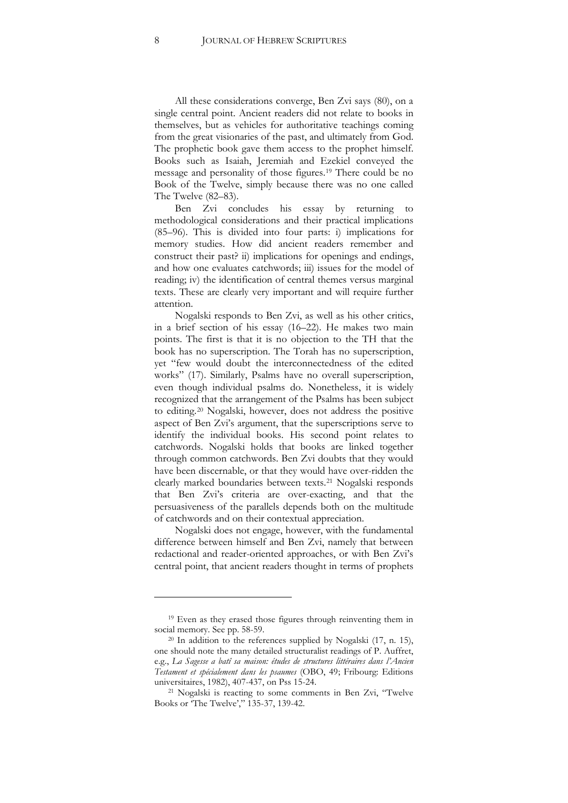All these considerations converge, Ben Zvi says (80), on a single central point. Ancient readers did not relate to books in themselves, but as vehicles for authoritative teachings coming from the great visionaries of the past, and ultimately from God. The prophetic book gave them access to the prophet himself. Books such as Isaiah, Jeremiah and Ezekiel conveyed the message and personality of those figures.[19](#page-7-0) There could be no Book of the Twelve, simply because there was no one called The Twelve (82–83).

Ben Zvi concludes his essay by returning to methodological considerations and their practical implications (85–96). This is divided into four parts: i) implications for memory studies. How did ancient readers remember and construct their past? ii) implications for openings and endings, and how one evaluates catchwords; iii) issues for the model of reading; iv) the identification of central themes versus marginal texts. These are clearly very important and will require further attention.

Nogalski responds to Ben Zvi, as well as his other critics, in a brief section of his essay (16–22). He makes two main points. The first is that it is no objection to the TH that the book has no superscription. The Torah has no superscription, yet "few would doubt the interconnectedness of the edited works" (17). Similarly, Psalms have no overall superscription, even though individual psalms do. Nonetheless, it is widely recognized that the arrangement of the Psalms has been subject to editing.[20](#page-7-1) Nogalski, however, does not address the positive aspect of Ben Zvi's argument, that the superscriptions serve to identify the individual books. His second point relates to catchwords. Nogalski holds that books are linked together through common catchwords. Ben Zvi doubts that they would have been discernable, or that they would have over-ridden the clearly marked boundaries between texts.[21](#page-7-2) Nogalski responds that Ben Zvi's criteria are over-exacting, and that the persuasiveness of the parallels depends both on the multitude of catchwords and on their contextual appreciation.

Nogalski does not engage, however, with the fundamental difference between himself and Ben Zvi, namely that between redactional and reader-oriented approaches, or with Ben Zvi's central point, that ancient readers thought in terms of prophets

<span id="page-7-0"></span><sup>19</sup> Even as they erased those figures through reinventing them in social memory. See pp. 58-59.

<span id="page-7-1"></span><sup>20</sup> In addition to the references supplied by Nogalski (17, n. 15), one should note the many detailed structuralist readings of P. Auffret, e.g., *La Sagesse a batî sa maison: études de structures littéraires dans l'Ancien*  Testament et spécialement dans les psaumes (OBO, 49; Fribourg: Editions universitaires, 1982), 407-437, on Pss 15-24.

<span id="page-7-2"></span><sup>21</sup> Nogalski is reacting to some comments in Ben Zvi, "Twelve Books or 'The Twelve'," 135-37, 139-42.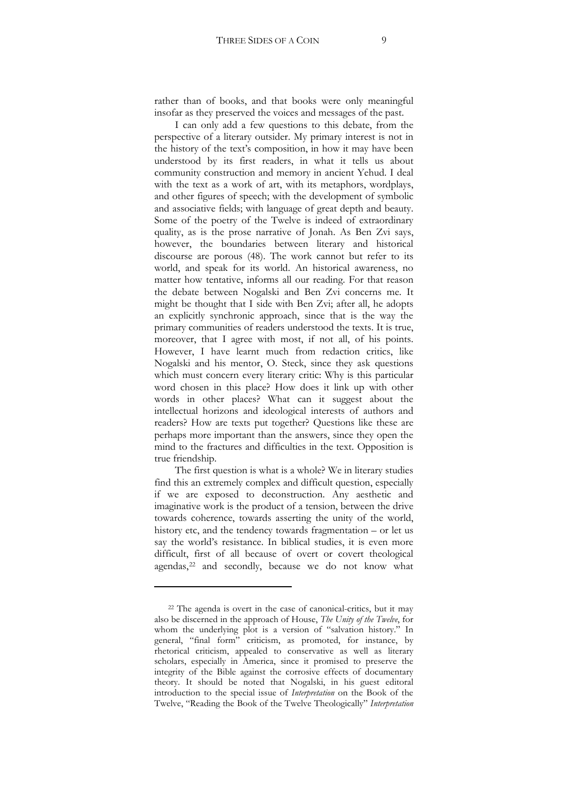rather than of books, and that books were only meaningful insofar as they preserved the voices and messages of the past.

I can only add a few questions to this debate, from the perspective of a literary outsider. My primary interest is not in the history of the text's composition, in how it may have been understood by its first readers, in what it tells us about community construction and memory in ancient Yehud. I deal with the text as a work of art, with its metaphors, wordplays, and other figures of speech; with the development of symbolic and associative fields; with language of great depth and beauty. Some of the poetry of the Twelve is indeed of extraordinary quality, as is the prose narrative of Jonah. As Ben Zvi says, however, the boundaries between literary and historical discourse are porous (48). The work cannot but refer to its world, and speak for its world. An historical awareness, no matter how tentative, informs all our reading. For that reason the debate between Nogalski and Ben Zvi concerns me. It might be thought that I side with Ben Zvi; after all, he adopts an explicitly synchronic approach, since that is the way the primary communities of readers understood the texts. It is true, moreover, that I agree with most, if not all, of his points. However, I have learnt much from redaction critics, like Nogalski and his mentor, O. Steck, since they ask questions which must concern every literary critic: Why is this particular word chosen in this place? How does it link up with other words in other places? What can it suggest about the intellectual horizons and ideological interests of authors and readers? How are texts put together? Questions like these are perhaps more important than the answers, since they open the mind to the fractures and difficulties in the text. Opposition is true friendship.

The first question is what is a whole? We in literary studies find this an extremely complex and difficult question, especially if we are exposed to deconstruction. Any aesthetic and imaginative work is the product of a tension, between the drive towards coherence, towards asserting the unity of the world, history etc, and the tendency towards fragmentation – or let us say the world's resistance. In biblical studies, it is even more difficult, first of all because of overt or covert theological agendas,<sup>[22](#page-8-0)</sup> and secondly, because we do not know what

<span id="page-8-0"></span><sup>22</sup> The agenda is overt in the case of canonical-critics, but it may also be discerned in the approach of House, *The Unity of the Twelve*, for whom the underlying plot is a version of "salvation history." In general, "final form" criticism, as promoted, for instance, by rhetorical criticism, appealed to conservative as well as literary scholars, especially in America, since it promised to preserve the integrity of the Bible against the corrosive effects of documentary theory. It should be noted that Nogalski, in his guest editoral introduction to the special issue of *Interpretation* on the Book of the Twelve, "Reading the Book of the Twelve Theologically" *Interpretation*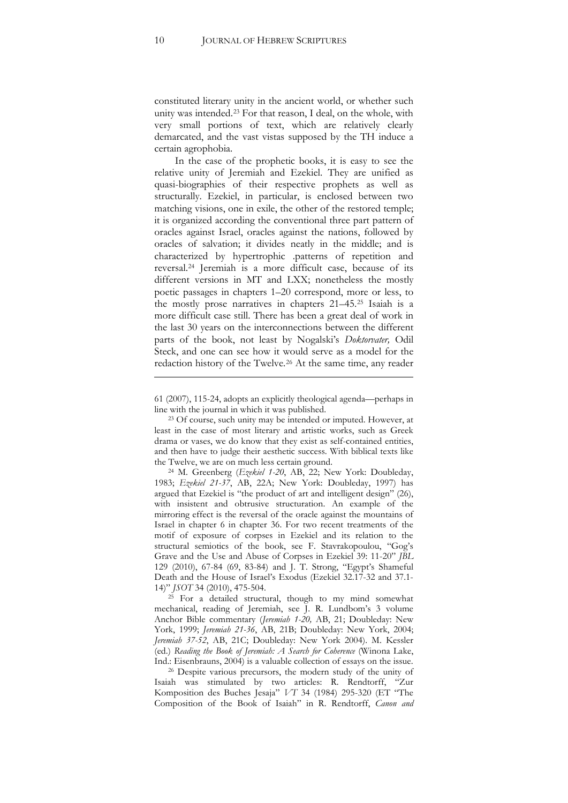constituted literary unity in the ancient world, or whether such unity was intended.[23](#page-9-0) For that reason, I deal, on the whole, with very small portions of text, which are relatively clearly demarcated, and the vast vistas supposed by the TH induce a certain agrophobia.

In the case of the prophetic books, it is easy to see the relative unity of Jeremiah and Ezekiel. They are unified as quasi-biographies of their respective prophets as well as structurally. Ezekiel, in particular, is enclosed between two matching visions, one in exile, the other of the restored temple; it is organized according the conventional three part pattern of oracles against Israel, oracles against the nations, followed by oracles of salvation; it divides neatly in the middle; and is characterized by hypertrophic .patterns of repetition and reversal[.24](#page-9-1) Jeremiah is a more difficult case, because of its different versions in MT and LXX; nonetheless the mostly poetic passages in chapters 1–20 correspond, more or less, to the mostly prose narratives in chapters 21–45[.25](#page-9-2) Isaiah is a more difficult case still. There has been a great deal of work in the last 30 years on the interconnections between the different parts of the book, not least by Nogalski's *Doktorvater,* Odil Steck, and one can see how it would serve as a model for the redaction history of the Twelve.[26](#page-9-3) At the same time, any reader

61 (2007), 115-24, adopts an explicitly theological agenda—perhaps in line with the journal in which it was published.

!!!!!!!!!!!!!!!!!!!!!!!!!!!!!!!!!!!!!!!!!!!!!!!!!!!!!!!!!!!!!!!!!!!!!!!!!!!!!!!!!!!!!!!!!!!!!!!!!!!!!!!!!!!!

<span id="page-9-0"></span><sup>23</sup> Of course, such unity may be intended or imputed. However, at least in the case of most literary and artistic works, such as Greek drama or vases, we do know that they exist as self-contained entities, and then have to judge their aesthetic success. With biblical texts like the Twelve, we are on much less certain ground.

<span id="page-9-1"></span><sup>24</sup> M. Greenberg (*Ezekiel 1-20*, AB, 22; New York: Doubleday, 1983; Ezekiel 21-37, AB, 22A; New York: Doubleday, 1997) has argued that Ezekiel is "the product of art and intelligent design" (26), with insistent and obtrusive structuration. An example of the mirroring effect is the reversal of the oracle against the mountains of Israel in chapter 6 in chapter 36. For two recent treatments of the motif of exposure of corpses in Ezekiel and its relation to the structural semiotics of the book, see F. Stavrakopoulou, "Gog's Grave and the Use and Abuse of Corpses in Ezekiel 39: 11-20" *JBL* 129 (2010), 67-84 (69, 83-84) and J. T. Strong, "Egypt's Shameful Death and the House of Israel's Exodus (Ezekiel 32.17-32 and 37.1- 14)" *JSOT* 34 (2010), 475-504.

<span id="page-9-2"></span><sup>25</sup> For a detailed structural, though to my mind somewhat mechanical, reading of Jeremiah, see J. R. Lundbom's 3 volume Anchor Bible commentary (*Jeremiah 1-20*, AB, 21; Doubleday: New York, 1999; *Jeremiah 21-36*, AB, 21B; Doubleday: New York, 2004; Jeremiah 37-52, AB, 21C; Doubleday: New York 2004). M. Kessler (ed.) *Reading the Book of Jeremiah: A Search for Coherence* (Winona Lake, Ind.: Eisenbrauns, 2004) is a valuable collection of essays on the issue.

<span id="page-9-3"></span><sup>26</sup> Despite various precursors, the modern study of the unity of Isaiah was stimulated by two articles: R. Rendtorff, "Zur Komposition des Buches Jesaja" *VT* 34 (1984) 295-320 (ET "The Composition of the Book of Isaiah" in R. Rendtorff, *Canon and*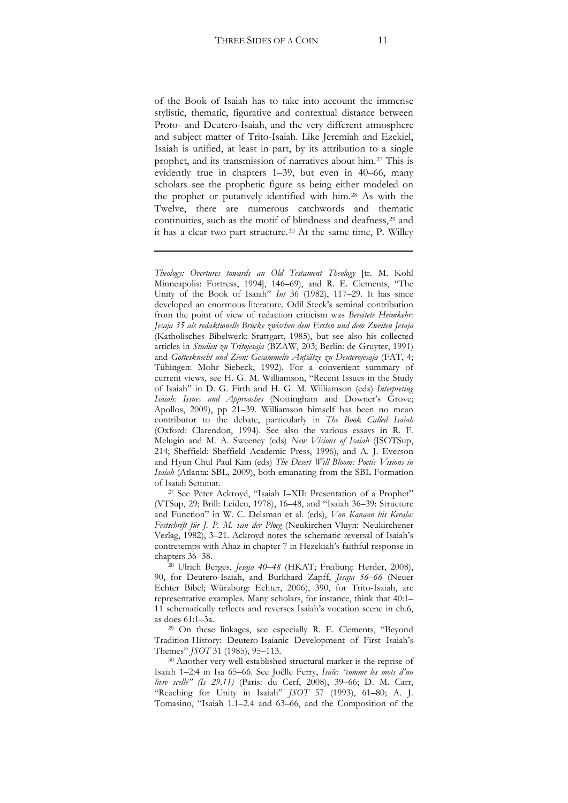of the Book of Isaiah has to take into account the immense stylistic, thematic, figurative and contextual distance between Proto- and Deutero-Isaiah, and the very different atmosphere and subject matter of Trito-Isaiah. Like Jeremiah and Ezekiel, Isaiah is unified, at least in part, by its attribution to a single prophet, and its transmission of narratives about him.[27](#page-10-0) This is evidently true in chapters 1–39, but even in 40–66, many scholars see the prophetic figure as being either modeled on the prophet or putatively identified with him.[28](#page-10-1) As with the Twelve, there are numerous catchwords and thematic continuities, such as the motif of blindness and deafness,<sup>[29](#page-10-2)</sup> and it has a clear two part structure.[30](#page-10-3) At the same time, P. Willey

!!!!!!!!!!!!!!!!!!!!!!!!!!!!!!!!!!!!!!!!!!!!!!!!!!!!!!!!!!!!!!!!!!!!!!!!!!!!!!!!!!!!!!!!!!!!!!!!!!!!!!!!!!!!

*Theology: Overtures towards an Old Testament Theology* [tr. M. Kohl Minneapolis: Fortress, 1994], 146–69), and R. E. Clements, "The Unity of the Book of Isaiah" *Int* 36 (1982), 117–29. It has since developed an enormous literature. Odil Steck's seminal contribution from the point of view of redaction criticism was *Bereitete Heimkehr: Jesaja 35 als redaktionelle Brücke zwischen dem Ersten und dem Zweiten Jesaja*  (Katholisches Bibelwerk: Stuttgart, 1985), but see also his collected articles in *Studien zu Tritojesaja* (BZAW, 203; Berlin: de Gruyter, 1991) and *Gottesknecht und Zion: Gesammelte Aufsätze zu Deuterojesaja* (FAT, 4; Tübingen: Mohr Siebeck, 1992). For a convenient summary of current views, see H. G. M. Williamson, "Recent Issues in the Study of Isaiah" in D. G. Firth and H. G. M. Williamson (eds) *Interpreting*  Isaiah: Issues and Approaches (Nottingham and Downer's Grove; Apollos, 2009), pp 21–39. Williamson himself has been no mean contributor to the debate, particularly in *The Book Called Isaiah* (Oxford: Clarendon, 1994). See also the various essays in R. F. Melugin and M. A. Sweeney (eds) *New Visions of Isaiah* (JSOTSup, 214; Sheffield: Sheffield Academic Press, 1996), and A. J. Everson and Hyun Chul Paul Kim (eds) *The Desert Will Bloom: Poetic Visions in Isaiah* (Atlanta: SBL, 2009), both emanating from the SBL Formation of Isaiah Seminar.

<span id="page-10-0"></span><sup>27</sup> See Peter Ackroyd, "Isaiah I–XII: Presentation of a Prophet" (VTSup, 29; Brill: Leiden, 1978), 16–48, and "Isaiah 36–39: Structure and Function" in W. C. Delsman et al. (eds), *Von Kanaan bis Kerala: Festschrift für J. P. M. van der Ploeg* (Neukirchen-Vluyn: Neukirchener Verlag, 1982), 3–21. Ackroyd notes the schematic reversal of Isaiah's contretemps with Ahaz in chapter 7 in Hezekiah's faithful response in chapters 36–38.<br><sup>28</sup> Ulrich Berges, *Jesaja 40–48* (HKAT; Freiburg: Herder, 2008),

<span id="page-10-1"></span>90, for Deutero-Isaiah, and Burkhard Zapff, *Jesaja 56–66* (Neuer Echter Bibel; Würzburg: Echter, 2006), 390, for Trito-Isaiah, are representative examples. Many scholars, for instance, think that 40:1– 11 schematically reflects and reverses Isaiah's vocation scene in ch.6, as does 61:1–3a.

<span id="page-10-2"></span><sup>29</sup> On these linkages, see especially R. E. Clements, "Beyond Tradition-History: Deutero-Isaianic Development of First Isaiah's Themes" *JSOT* 31 (1985), 95–113.<br><sup>30</sup> Another very well-established structural marker is the reprise of

<span id="page-10-3"></span>Isaiah 1–2:4 in Isa 65–66. See Joëlle Ferry, *Isaïe: "comme les mots d'un livre scellé" (Is 29,11)* (Paris: du Cerf, 2008), 39–66; D. M. Carr, "Reaching for Unity in Isaiah" *JSOT* 57 (1993), 61-80; A. J. Tomasino, "Isaiah 1.1–2.4 and 63–66, and the Composition of the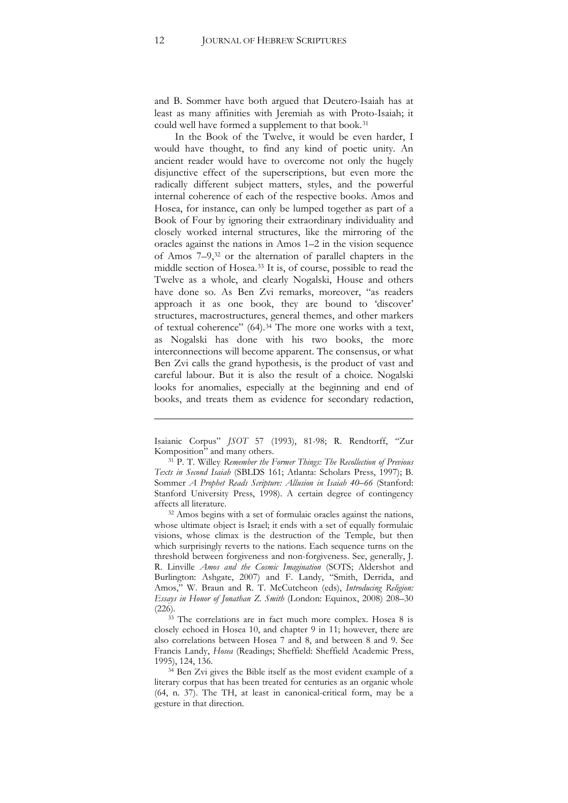and B. Sommer have both argued that Deutero-Isaiah has at least as many affinities with Jeremiah as with Proto-Isaiah; it could well have formed a supplement to that book.[31](#page-11-0)

In the Book of the Twelve, it would be even harder, I would have thought, to find any kind of poetic unity. An ancient reader would have to overcome not only the hugely disjunctive effect of the superscriptions, but even more the radically different subject matters, styles, and the powerful internal coherence of each of the respective books. Amos and Hosea, for instance, can only be lumped together as part of a Book of Four by ignoring their extraordinary individuality and closely worked internal structures, like the mirroring of the oracles against the nations in Amos 1–2 in the vision sequence of Amos 7–9,[32](#page-11-1) or the alternation of parallel chapters in the middle section of Hosea.[33](#page-11-2) It is, of course, possible to read the Twelve as a whole, and clearly Nogalski, House and others have done so. As Ben Zvi remarks, moreover, "as readers approach it as one book, they are bound to 'discover' structures, macrostructures, general themes, and other markers of textual coherence" (64).[34](#page-11-3) The more one works with a text, as Nogalski has done with his two books, the more interconnections will become apparent. The consensus, or what Ben Zvi calls the grand hypothesis, is the product of vast and careful labour. But it is also the result of a choice. Nogalski looks for anomalies, especially at the beginning and end of books, and treats them as evidence for secondary redaction,

!!!!!!!!!!!!!!!!!!!!!!!!!!!!!!!!!!!!!!!!!!!!!!!!!!!!!!!!!!!!!!!!!!!!!!!!!!!!!!!!!!!!!!!!!!!!!!!!!!!!!!!!!!!!

<span id="page-11-1"></span><sup>32</sup> Amos begins with a set of formulaic oracles against the nations, whose ultimate object is Israel; it ends with a set of equally formulaic visions, whose climax is the destruction of the Temple, but then which surprisingly reverts to the nations. Each sequence turns on the threshold between forgiveness and non-forgiveness. See, generally, J. R. Linville *Amos and the Cosmic Imagination* (SOTS; Aldershot and Burlington: Ashgate, 2007) and F. Landy, "Smith, Derrida, and Amos," W. Braun and R. T. McCutcheon (eds), *Introducing Religion: Essays in Honor of Jonathan Z. Smith* (London: Equinox, 2008) 208–30 (226).

<span id="page-11-2"></span> $33$  The correlations are in fact much more complex. Hosea 8 is closely echoed in Hosea 10, and chapter 9 in 11; however, there are also correlations between Hosea 7 and 8, and between 8 and 9. See Francis Landy, *Hosea* (Readings; Sheffield: Sheffield Academic Press, 1995), 124, 136.

<span id="page-11-3"></span><sup>34</sup> Ben Zvi gives the Bible itself as the most evident example of a literary corpus that has been treated for centuries as an organic whole (64, n. 37). The TH, at least in canonical-critical form, may be a gesture in that direction.

Isaianic Corpus" *JSOT* 57 (1993), 81-98; R. Rendtorff, "Zur Komposition" and many others.

<span id="page-11-0"></span><sup>31</sup> P. T. Willey *Remember the Former Things: The Recollection of Previous Texts in Second Isaiah* (SBLDS 161; Atlanta: Scholars Press, 1997); B. Sommer *A Prophet Reads Scripture: Allusion in Isaiah 40–66* (Stanford: Stanford University Press, 1998). A certain degree of contingency affects all literature.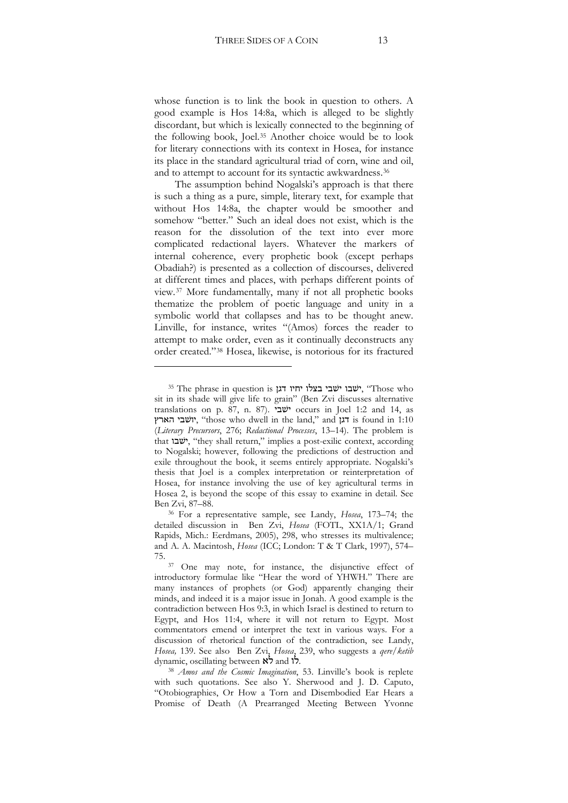whose function is to link the book in question to others. A good example is Hos 14:8a, which is alleged to be slightly discordant, but which is lexically connected to the beginning of the following book, Joel.[35](#page-12-0) Another choice would be to look for literary connections with its context in Hosea, for instance its place in the standard agricultural triad of corn, wine and oil, and to attempt to account for its syntactic awkwardness.<sup>[36](#page-12-1)</sup>

The assumption behind Nogalski's approach is that there is such a thing as a pure, simple, literary text, for example that without Hos 14:8a, the chapter would be smoother and somehow "better." Such an ideal does not exist, which is the reason for the dissolution of the text into ever more complicated redactional layers. Whatever the markers of internal coherence, every prophetic book (except perhaps Obadiah?) is presented as a collection of discourses, delivered at different times and places, with perhaps different points of view.[37](#page-12-2) More fundamentally, many if not all prophetic books thematize the problem of poetic language and unity in a symbolic world that collapses and has to be thought anew. Linville, for instance, writes "(Amos) forces the reader to attempt to make order, even as it continually deconstructs any order created."[38](#page-12-3) Hosea, likewise, is notorious for its fractured

<span id="page-12-0"></span><sup>&</sup>lt;sup>35</sup> The phrase in question is ישבי בצלו יחיו דגו "Those who sit in its shade will give life to grain" (Ben Zvi discusses alternative translations on p. 87, n. 87). 'f' occurs in Joel 1:2 and 14, as יושבי הארץ, "those who dwell in the land," and יושבי הארץ, " (Literary Precursors, 276; Redactional Processes, 13–14). The problem is that "they shall return," implies a post-exilic context, according to Nogalski; however, following the predictions of destruction and exile throughout the book, it seems entirely appropriate. Nogalski's thesis that Joel is a complex interpretation or reinterpretation of Hosea, for instance involving the use of key agricultural terms in Hosea 2, is beyond the scope of this essay to examine in detail. See Ben Zvi, 87–88.

<span id="page-12-1"></span><sup>&</sup>lt;sup>36</sup> For a representative sample, see Landy, *Hosea*, 173-74; the detailed discussion in Ben Zvi, *Hosea* (FOTL, XX1A/1; Grand Rapids, Mich.: Eerdmans, 2005), 298, who stresses its multivalence; and A. A. Macintosh, *Hosea* (ICC; London: T & T Clark, 1997), 574– 75.

<span id="page-12-2"></span>One may note, for instance, the disjunctive effect of introductory formulae like "Hear the word of YHWH." There are many instances of prophets (or God) apparently changing their minds, and indeed it is a major issue in Jonah. A good example is the contradiction between Hos 9:3, in which Israel is destined to return to Egypt, and Hos 11:4, where it will not return to Egypt. Most commentators emend or interpret the text in various ways. For a discussion of rhetorical function of the contradiction, see Landy, *Hosea*, 139. See also Ben Zvi, *Hosea*, 239, who suggests a *qere/ketib* dynamic, oscillating between  $\mathbf{R}^3$  and  $\mathbf{R}^3$ .

<span id="page-12-3"></span><sup>&</sup>lt;sup>38</sup> *Amos and the Cosmic Imagination*, 53. Linville's book is replete with such quotations. See also Y. Sherwood and J. D. Caputo, "Otobiographies, Or How a Torn and Disembodied Ear Hears a Promise of Death (A Prearranged Meeting Between Yvonne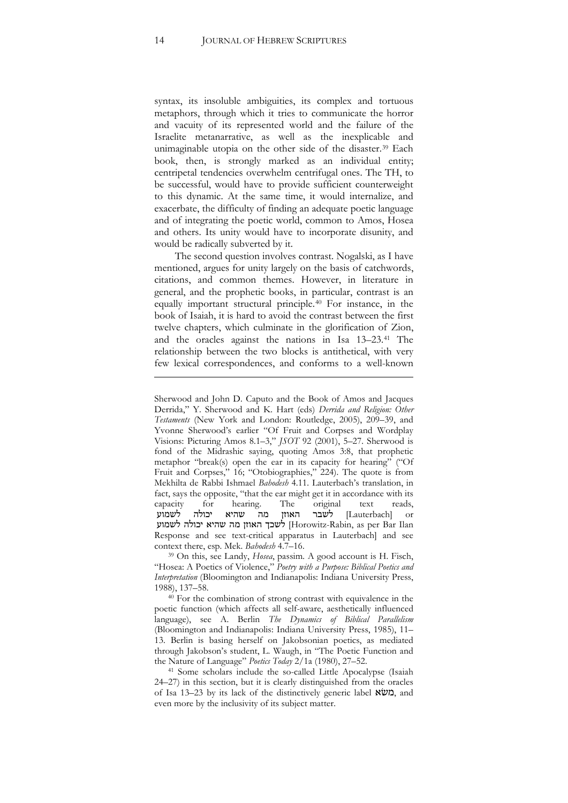syntax, its insoluble ambiguities, its complex and tortuous metaphors, through which it tries to communicate the horror and vacuity of its represented world and the failure of the Israelite metanarrative, as well as the inexplicable and unimaginable utopia on the other side of the disaster.[39](#page-13-0) Each book, then, is strongly marked as an individual entity; centripetal tendencies overwhelm centrifugal ones. The TH, to be successful, would have to provide sufficient counterweight to this dynamic. At the same time, it would internalize, and exacerbate, the difficulty of finding an adequate poetic language and of integrating the poetic world, common to Amos, Hosea and others. Its unity would have to incorporate disunity, and would be radically subverted by it.

The second question involves contrast. Nogalski, as I have mentioned, argues for unity largely on the basis of catchwords, citations, and common themes. However, in literature in general, and the prophetic books, in particular, contrast is an equally important structural principle.[40](#page-13-1) For instance, in the book of Isaiah, it is hard to avoid the contrast between the first twelve chapters, which culminate in the glorification of Zion, and the oracles against the nations in Isa 13–23[.41](#page-13-2) The relationship between the two blocks is antithetical, with very few lexical correspondences, and conforms to a well-known

!!!!!!!!!!!!!!!!!!!!!!!!!!!!!!!!!!!!!!!!!!!!!!!!!!!!!!!!!!!!!!!!!!!!!!!!!!!!!!!!!!!!!!!!!!!!!!!!!!!!!!!!!!!!

<span id="page-13-0"></span><sup>39</sup> On this, see Landy, *Hosea*, passim. A good account is H. Fisch, "Hosea: A Poetics of Violence," *Poetry with a Purpose: Biblical Poetics and Interpretation* (Bloomington and Indianapolis: Indiana University Press, 1988), 137–58.

<span id="page-13-1"></span> $40$  For the combination of strong contrast with equivalence in the poetic function (which affects all self-aware, aesthetically influenced language), see A. Berlin *The Dynamics of Biblical Parallelism* (Bloomington and Indianapolis: Indiana University Press, 1985), 11– 13. Berlin is basing herself on Jakobsonian poetics, as mediated through Jakobson's student, L. Waugh, in "The Poetic Function and<br>the Nature of Language" *Poetics Today* 2/1a (1980), 27–52.

<span id="page-13-2"></span><sup>41</sup> Some scholars include the so-called Little Apocalypse (Isaiah 24–27) in this section, but it is clearly distinguished from the oracles of Isa 13–23 by its lack of the distinctively generic label  $x\overline{v}$ , and even more by the inclusivity of its subject matter.

Sherwood and John D. Caputo and the Book of Amos and Jacques Derrida," Y. Sherwood and K. Hart (eds) *Derrida and Religion: Other Testaments* (New York and London: Routledge, 2005), 209–39, and Yvonne Sherwood's earlier "Of Fruit and Corpses and Wordplay Visions: Picturing Amos 8.1–3," *JSOT* 92 (2001), 5–27. Sherwood is fond of the Midrashic saying, quoting Amos 3:8, that prophetic metaphor "break(s) open the ear in its capacity for hearing" ("Of Fruit and Corpses," 16; "Otobiographies," 224). The quote is from Mekhilta de Rabbi Ishmael *Bahodesh* 4.11. Lauterbach's translation, in fact, says the opposite, "that the ear might get it in accordance with its capacity for hearing. The original text reads, ובאמוע באמוע באמוע $\Box$  T.auterbachl or Lauterbach] לשבר האוזן מה שהיא יכולה לשמוע לשכך האוזן מה שהיא יכולה לשמוע (Horowitz-Rabin, as per Bar Ilan Response and see text-critical apparatus in Lauterbach] and see context there, esp. Mek. *Bahodesh* 4.7–16.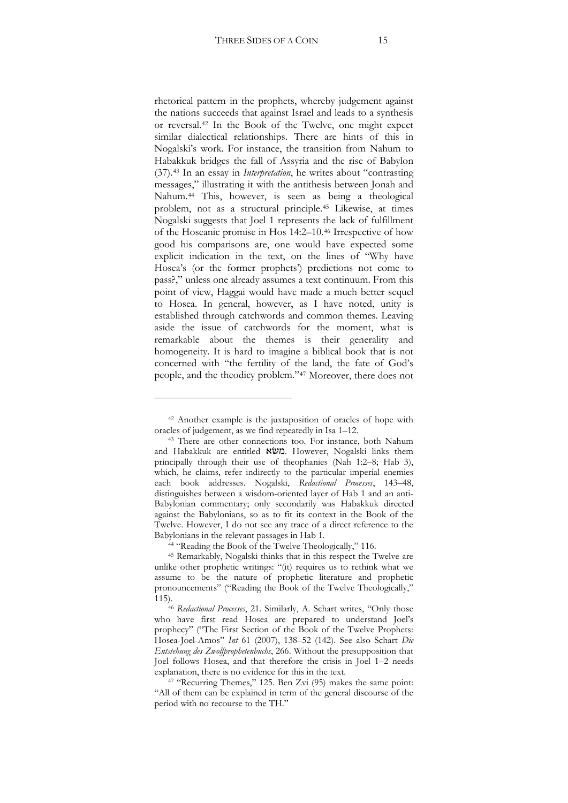rhetorical pattern in the prophets, whereby judgement against the nations succeeds that against Israel and leads to a synthesis or reversal.[42](#page-14-0) In the Book of the Twelve, one might expect similar dialectical relationships. There are hints of this in Nogalski's work. For instance, the transition from Nahum to Habakkuk bridges the fall of Assyria and the rise of Babylon (37).[43](#page-14-1) In an essay in *Interpretation*, he writes about "contrasting messages," illustrating it with the antithesis between Jonah and Nahum.[44](#page-14-2) This, however, is seen as being a theological problem, not as a structural principle.[45](#page-14-3) Likewise, at times Nogalski suggests that Joel 1 represents the lack of fulfillment of the Hoseanic promise in Hos 14:2–10.[46](#page-14-4) Irrespective of how good his comparisons are, one would have expected some explicit indication in the text, on the lines of "Why have Hosea's (or the former prophets') predictions not come to pass?," unless one already assumes a text continuum. From this point of view, Haggai would have made a much better sequel to Hosea. In general, however, as I have noted, unity is established through catchwords and common themes. Leaving aside the issue of catchwords for the moment, what is remarkable about the themes is their generality and homogeneity. It is hard to imagine a biblical book that is not concerned with "the fertility of the land, the fate of God's people, and the theodicy problem."[47](#page-14-5) Moreover, there does not

<sup>42</sup> Another example is the juxtaposition of oracles of hope with

<span id="page-14-1"></span><span id="page-14-0"></span>oracles of judgement, as we find repeatedly in Isa 1–12. 43 There are other connections too. For instance, both Nahum and Habakkuk are entitled משא. However, Nogalski links them principally through their use of theophanies (Nah 1:2-8; Hab 3), which, he claims, refer indirectly to the particular imperial enemies each book addresses. Nogalski, *Redactional Processes*, 143–48, distinguishes between a wisdom-oriented layer of Hab 1 and an anti-Babylonian commentary; only secondarily was Habakkuk directed against the Babylonians, so as to fit its context in the Book of the Twelve. However, I do not see any trace of a direct reference to the Babylonians in the relevant passages in Hab 1.

<sup>44</sup> "Reading the Book of the Twelve Theologically," 116.

<span id="page-14-3"></span><span id="page-14-2"></span><sup>45</sup> Remarkably, Nogalski thinks that in this respect the Twelve are unlike other prophetic writings: "(it) requires us to rethink what we assume to be the nature of prophetic literature and prophetic pronouncements" ("Reading the Book of the Twelve Theologically," 115).46 *Redactional Processes*, 21. Similarly, A. Schart writes, "Only those

<span id="page-14-4"></span>who have first read Hosea are prepared to understand Joel's prophecy" ("The First Section of the Book of the Twelve Prophets: Hosea-Joel-Amos" *Int* 61 (2007), 138–52 (142). See also Schart *Die Entstehung des Zwolfprophetenbuchs*, 266. Without the presupposition that Joel follows Hosea, and that therefore the crisis in Joel 1–2 needs explanation, there is no evidence for this in the text.

<span id="page-14-5"></span><sup>47</sup> "Recurring Themes," 125. Ben Zvi (95) makes the same point: "All of them can be explained in term of the general discourse of the period with no recourse to the TH."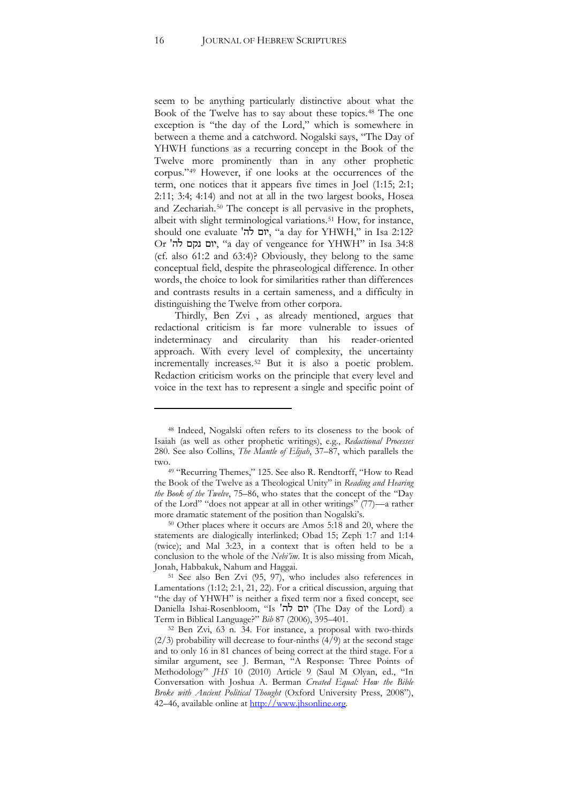seem to be anything particularly distinctive about what the Book of the Twelve has to say about these topics.[48](#page-15-0) The one exception is "the day of the Lord," which is somewhere in between a theme and a catchword. Nogalski says, "The Day of YHWH functions as a recurring concept in the Book of the Twelve more prominently than in any other prophetic corpus."[49](#page-15-1) However, if one looks at the occurrences of the term, one notices that it appears five times in Joel  $(1:15; 2:1;$  $2:11$ ;  $3:4$ ;  $4:14$ ) and not at all in the two largest books, Hosea and Zechariah.[50](#page-15-2) The concept is all pervasive in the prophets, albeit with slight terminological variations.<sup>[51](#page-15-3)</sup> How, for instance, should one evaluate 'ה', "אום לה, "a day for YHWH," in Isa 2:12? Or 'יום נקם, "a day of vengeance for YHWH" in Isa 34:8 (cf. also 61:2 and 63:4)? Obviously, they belong to the same conceptual field, despite the phraseological difference. In other words, the choice to look for similarities rather than differences and contrasts results in a certain sameness, and a difficulty in distinguishing the Twelve from other corpora.

Thirdly, Ben Zvi , as already mentioned, argues that redactional criticism is far more vulnerable to issues of indeterminacy and circularity than his reader-oriented approach. With every level of complexity, the uncertainty incrementally increases.[52](#page-15-4) But it is also a poetic problem. Redaction criticism works on the principle that every level and voice in the text has to represent a single and specific point of

!!!!!!!!!!!!!!!!!!!!!!!!!!!!!!!!!!!!!!!!!!!!!!!!!!!!!!!!!!

<span id="page-15-2"></span>more dramatic statement of the position than Nogalski's.<br><sup>50</sup> Other places where it occurs are Amos 5:18 and 20, where the statements are dialogically interlinked; Obad 15; Zeph 1:7 and 1:14 (twice); and Mal  $3:23$ , in a context that is often held to be a conclusion to the whole of the *Nebi'im*. It is also missing from Micah, Jonah, Habbakuk, Nahum and Haggai.

<span id="page-15-3"></span><sup>51</sup> See also Ben Zvi (95, 97), who includes also references in Lamentations (1:12; 2:1, 21, 22). For a critical discussion, arguing that "the day of YHWH" is neither a fixed term nor a fixed concept, see Daniella Ishai-Rosenbloom, "Is 'יום לה' (The Day of the Lord) a Term in Biblical Language?" *Bib* 87 (2006), 395–401.

<span id="page-15-4"></span><sup>52</sup> Ben Zvi, 63 n. 34. For instance, a proposal with two-thirds (2/3) probability will decrease to four-ninths  $(4/9)$  at the second stage and to only 16 in 81 chances of being correct at the third stage. For a similar argument, see J. Berman, "A Response: Three Points of Methodology" *JHS* 10 (2010) Article 9 (Saul M Olyan, ed., "In Conversation with Joshua A. Berman *Created Equal: How the Bible Broke with Ancient Political Thought* (Oxford University Press, 2008"), 42–46, available online at http://www.jhsonline.org.

<span id="page-15-0"></span><sup>48</sup> Indeed, Nogalski often refers to its closeness to the book of Isaiah (as well as other prophetic writings), e.g., *Redactional Processes* 280. See also Collins, *The Mantle of Elijah*, 37–87, which parallels the

<span id="page-15-1"></span><sup>&</sup>lt;sup>49</sup> "Recurring Themes," 125. See also R. Rendtorff, "How to Read the Book of the Twelve as a Theological Unity" in *Reading and Hearing the Book of the Twelve*, 75–86, who states that the concept of the "Day of the Lord" "does not appear at all in other writings" (77)—a rather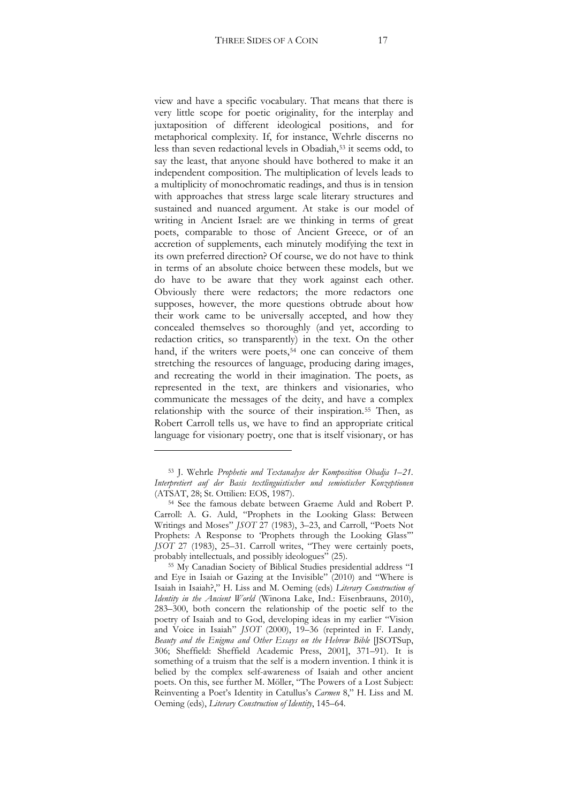view and have a specific vocabulary. That means that there is very little scope for poetic originality, for the interplay and juxtaposition of different ideological positions, and for metaphorical complexity. If, for instance, Wehrle discerns no less than seven redactional levels in Obadiah,[53](#page-16-0) it seems odd, to say the least, that anyone should have bothered to make it an independent composition. The multiplication of levels leads to a multiplicity of monochromatic readings, and thus is in tension with approaches that stress large scale literary structures and sustained and nuanced argument. At stake is our model of writing in Ancient Israel: are we thinking in terms of great poets, comparable to those of Ancient Greece, or of an accretion of supplements, each minutely modifying the text in its own preferred direction? Of course, we do not have to think in terms of an absolute choice between these models, but we do have to be aware that they work against each other. Obviously there were redactors; the more redactors one supposes, however, the more questions obtrude about how their work came to be universally accepted, and how they concealed themselves so thoroughly (and yet, according to redaction critics, so transparently) in the text. On the other hand, if the writers were poets,<sup>[54](#page-16-1)</sup> one can conceive of them stretching the resources of language, producing daring images, and recreating the world in their imagination. The poets, as represented in the text, are thinkers and visionaries, who communicate the messages of the deity, and have a complex relationship with the source of their inspiration.[55](#page-16-2) Then, as Robert Carroll tells us, we have to find an appropriate critical language for visionary poetry, one that is itself visionary, or has

<span id="page-16-0"></span><sup>53</sup> J. Wehrle *Prophetie und Textanalyse der Komposition Obadja 1–21. Interpretiert auf der Basis textlinguistischer und semiotischer Konzeptionen* (ATSAT, 28; St. Ottilien: EOS, 1987).

<span id="page-16-1"></span><sup>54</sup> See the famous debate between Graeme Auld and Robert P. Carroll: A. G. Auld, "Prophets in the Looking Glass: Between Writings and Moses" *JSOT* 27 (1983), 3–23, and Carroll, "Poets Not Prophets: A Response to 'Prophets through the Looking Glass'" *JSOT* 27 (1983), 25–31. Carroll writes, "They were certainly poets, probably intellectuals, and possibly ideologues" (25).

<span id="page-16-2"></span><sup>55</sup> My Canadian Society of Biblical Studies presidential address "I and Eye in Isaiah or Gazing at the Invisible" (2010) and "Where is Isaiah in Isaiah?," H. Liss and M. Oeming (eds) *Literary Construction of Identity in the Ancient World* (Winona Lake, Ind.: Eisenbrauns, 2010), 283–300, both concern the relationship of the poetic self to the poetry of Isaiah and to God, developing ideas in my earlier "Vision and Voice in Isaiah" *JSOT* (2000), 19–36 (reprinted in F. Landy, *Beauty and the Enigma and Other Essays on the Hebrew Bible* [JSOTSup, 306; Sheffield: Sheffield Academic Press, 2001], 371-91). It is something of a truism that the self is a modern invention. I think it is belied by the complex self-awareness of Isaiah and other ancient poets. On this, see further M. Möller, "The Powers of a Lost Subject: Reinventing a Poet's Identity in Catullus's *Carmen* 8," H. Liss and M. Oeming (eds), *Literary Construction of Identity*, 145–64.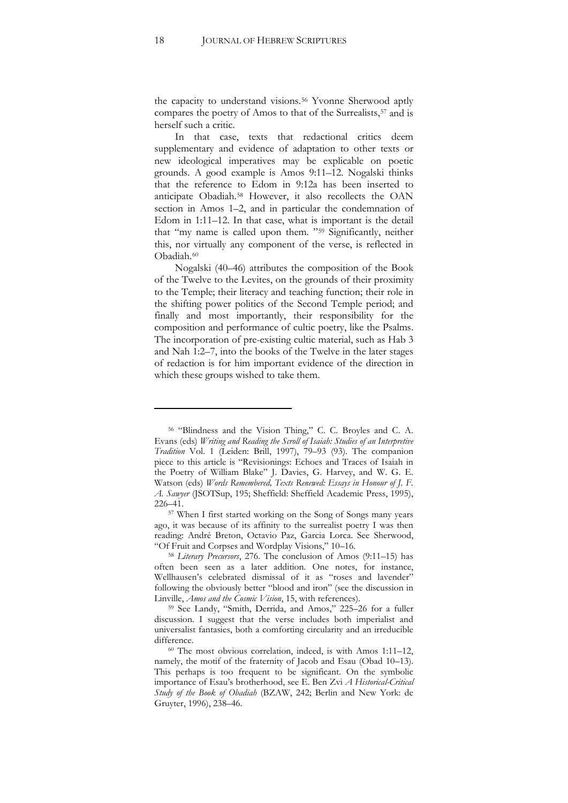the capacity to understand visions.<sup>[56](#page-17-0)</sup> Yvonne Sherwood aptly compares the poetry of Amos to that of the Surrealists,<sup>[57](#page-17-1)</sup> and is herself such a critic.

In that case, texts that redactional critics deem supplementary and evidence of adaptation to other texts or new ideological imperatives may be explicable on poetic grounds. A good example is Amos 9:11–12. Nogalski thinks that the reference to Edom in 9:12a has been inserted to anticipate Obadiah[.58](#page-17-2) However, it also recollects the OAN section in Amos 1–2, and in particular the condemnation of Edom in 1:11–12. In that case, what is important is the detail that "my name is called upon them. "[59](#page-17-3) Significantly, neither this, nor virtually any component of the verse, is reflected in Obadiah.<sup>[60](#page-17-4)</sup>

Nogalski (40–46) attributes the composition of the Book of the Twelve to the Levites, on the grounds of their proximity to the Temple; their literacy and teaching function; their role in the shifting power politics of the Second Temple period; and finally and most importantly, their responsibility for the composition and performance of cultic poetry, like the Psalms. The incorporation of pre-existing cultic material, such as Hab 3 and Nah 1:2–7, into the books of the Twelve in the later stages of redaction is for him important evidence of the direction in which these groups wished to take them.

<span id="page-17-0"></span><sup>56</sup> "Blindness and the Vision Thing," C. C. Broyles and C. A. Evans (eds) *Writing and Reading the Scroll of Isaiah: Studies of an Interpretive Tradition* Vol. 1 (Leiden: Brill, 1997), 79–93 (93). The companion piece to this article is "Revisionings: Echoes and Traces of Isaiah in the Poetry of William Blake" J. Davies, G. Harvey, and W. G. E. Watson (eds) *Words Remembered, Texts Renewed: Essays in Honour of J. F.* A. Sanyer (JSOTSup, 195; Sheffield: Sheffield Academic Press, 1995), 226–41.

<span id="page-17-1"></span><sup>57</sup> When I first started working on the Song of Songs many years ago, it was because of its affinity to the surrealist poetry I was then reading: André Breton, Octavio Paz, Garcia Lorca. See Sherwood, "Of Fruit and Corpses and Wordplay Visions," 10–16. 58 *Literary Precursors*, 276. The conclusion of Amos (9:11–15) has

<span id="page-17-2"></span>often been seen as a later addition. One notes, for instance, Wellhausen's celebrated dismissal of it as "roses and lavender" following the obviously better "blood and iron" (see the discussion in Linville, *Amos and the Cosmic Vision*, 15, with references).

<span id="page-17-3"></span><sup>59</sup> See Landy, "Smith, Derrida, and Amos," 225–26 for a fuller discussion. I suggest that the verse includes both imperialist and universalist fantasies, both a comforting circularity and an irreducible difference.

<span id="page-17-4"></span><sup>60</sup> The most obvious correlation, indeed, is with Amos 1:11–12, namely, the motif of the fraternity of Jacob and Esau (Obad 10–13). This perhaps is too frequent to be significant. On the symbolic importance of Esau's brotherhood, see E. Ben Zvi *A Historical-Critical*  Study of the Book of Obadiah (BZAW, 242; Berlin and New York: de Gruyter, 1996), 238–46.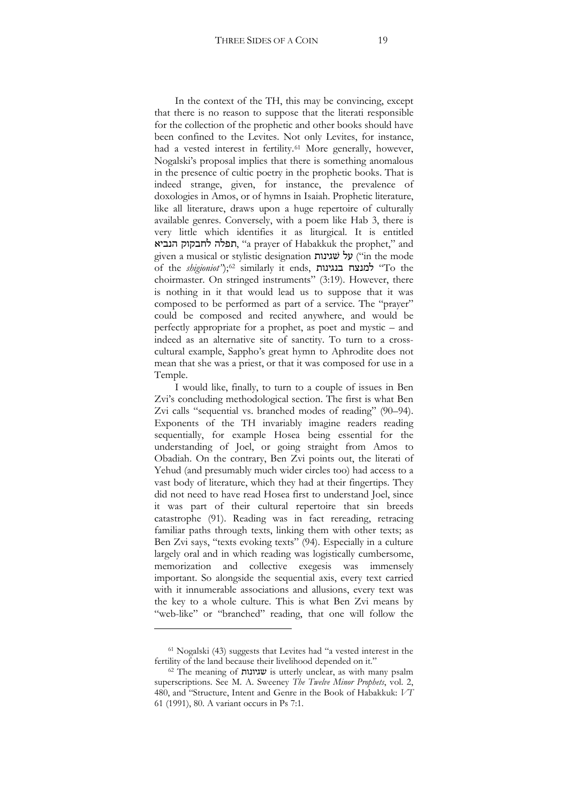In the context of the TH, this may be convincing, except that there is no reason to suppose that the literati responsible for the collection of the prophetic and other books should have been confined to the Levites. Not only Levites, for instance, had a vested interest in fertility.<sup>[61](#page-18-0)</sup> More generally, however, Nogalski's proposal implies that there is something anomalous in the presence of cultic poetry in the prophetic books. That is indeed strange, given, for instance, the prevalence of doxologies in Amos, or of hymns in Isaiah. Prophetic literature, like all literature, draws upon a huge repertoire of culturally available genres. Conversely, with a poem like Hab 3, there is very little which identifies it as liturgical. It is entitled תפלה לחבקוק הנביא, "a prayer of Habakkuk the prophet," and given a musical or stylistic designation =#1'f+3 ("in the mode of the *shigioniot*");<sup>[62](#page-18-1)</sup> similarly it ends, **בנגינות בנגינות "To** the choirmaster. On stringed instruments" (3:19). However, there is nothing in it that would lead us to suppose that it was composed to be performed as part of a service. The "prayer" could be composed and recited anywhere, and would be perfectly appropriate for a prophet, as poet and mystic – and indeed as an alternative site of sanctity. To turn to a crosscultural example, Sappho's great hymn to Aphrodite does not mean that she was a priest, or that it was composed for use in a Temple.

I would like, finally, to turn to a couple of issues in Ben Zvi's concluding methodological section. The first is what Ben Zvi calls "sequential vs. branched modes of reading" (90–94). Exponents of the TH invariably imagine readers reading sequentially, for example Hosea being essential for the understanding of Joel, or going straight from Amos to Obadiah. On the contrary, Ben Zvi points out, the literati of Yehud (and presumably much wider circles too) had access to a vast body of literature, which they had at their fingertips. They did not need to have read Hosea first to understand Joel, since it was part of their cultural repertoire that sin breeds catastrophe (91). Reading was in fact rereading, retracing familiar paths through texts, linking them with other texts; as Ben Zvi says, "texts evoking texts" (94). Especially in a culture largely oral and in which reading was logistically cumbersome, memorization and collective exegesis was immensely important. So alongside the sequential axis, every text carried with it innumerable associations and allusions, every text was the key to a whole culture. This is what Ben Zvi means by "web-like" or "branched" reading, that one will follow the

<span id="page-18-0"></span><sup>61</sup> Nogalski (43) suggests that Levites had "a vested interest in the fertility of the land because their livelihood depended on it."

<span id="page-18-1"></span> $62$  The meaning of  $x$ עגיונות is utterly unclear, as with many psalm superscriptions. See M. A. Sweeney *The Twelve Minor Prophets*, vol. 2, 480, and "Structure, Intent and Genre in the Book of Habakkuk: *VT* 61 (1991), 80. A variant occurs in Ps 7:1.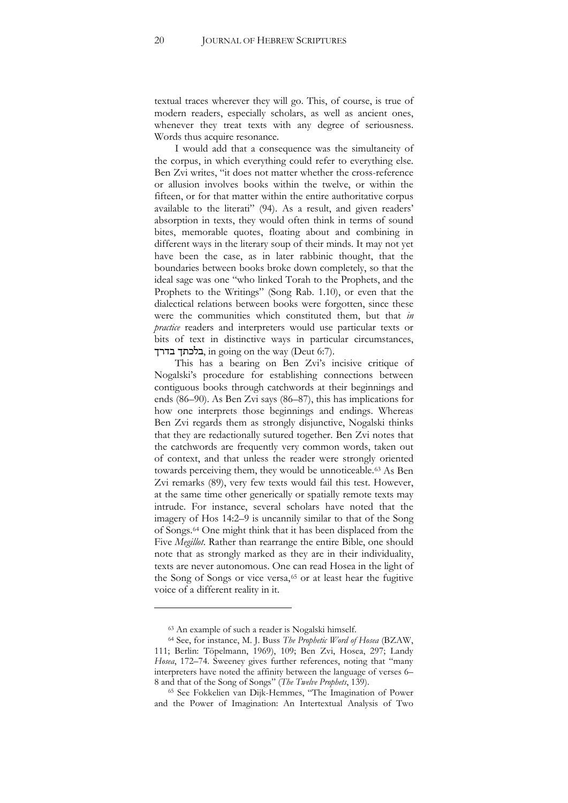textual traces wherever they will go. This, of course, is true of modern readers, especially scholars, as well as ancient ones, whenever they treat texts with any degree of seriousness. Words thus acquire resonance.

I would add that a consequence was the simultaneity of the corpus, in which everything could refer to everything else. Ben Zvi writes, "it does not matter whether the cross-reference or allusion involves books within the twelve, or within the fifteen, or for that matter within the entire authoritative corpus available to the literati" (94). As a result, and given readers' absorption in texts, they would often think in terms of sound bites, memorable quotes, floating about and combining in different ways in the literary soup of their minds. It may not yet have been the case, as in later rabbinic thought, that the boundaries between books broke down completely, so that the ideal sage was one "who linked Torah to the Prophets, and the Prophets to the Writings" (Song Rab. 1.10), or even that the dialectical relations between books were forgotten, since these were the communities which constituted them, but that *in practice* readers and interpreters would use particular texts or bits of text in distinctive ways in particular circumstances, בלכתך בדרך, in going on the way (Deut 6:7).

This has a bearing on Ben Zvi's incisive critique of Nogalski's procedure for establishing connections between contiguous books through catchwords at their beginnings and ends (86–90). As Ben Zvi says (86–87), this has implications for how one interprets those beginnings and endings. Whereas Ben Zvi regards them as strongly disjunctive, Nogalski thinks that they are redactionally sutured together. Ben Zvi notes that the catchwords are frequently very common words, taken out of context, and that unless the reader were strongly oriented towards perceiving them, they would be unnoticeable.<sup>[63](#page-19-0)</sup> As Ben Zvi remarks (89), very few texts would fail this test. However, at the same time other generically or spatially remote texts may intrude. For instance, several scholars have noted that the imagery of Hos 14:2–9 is uncannily similar to that of the Song of Songs.[64](#page-19-1) One might think that it has been displaced from the Five *Megillot*. Rather than rearrange the entire Bible, one should note that as strongly marked as they are in their individuality, texts are never autonomous. One can read Hosea in the light of the Song of Songs or vice versa,<sup>[65](#page-19-2)</sup> or at least hear the fugitive voice of a different reality in it.

!!!!!!!!!!!!!!!!!!!!!!!!!!!!!!!!!!!!!!!!!!!!!!!!!!!!!!!!!!

<span id="page-19-2"></span>and the Power of Imagination: An Intertextual Analysis of Two

<sup>63</sup> An example of such a reader is Nogalski himself.

<span id="page-19-1"></span><span id="page-19-0"></span><sup>64</sup> See, for instance, M. J. Buss *The Prophetic Word of Hosea* (BZAW, 111; Berlin: Töpelmann, 1969), 109; Ben Zvi, Hosea, 297; Landy *Hosea*, 172–74. Sweeney gives further references, noting that "many interpreters have noted the affinity between the language of verses 6– 8 and that of the Song of Songs" (*The Twelve Prophets*, 139). 65 See Fokkelien van Dijk-Hemmes, "The Imagination of Power